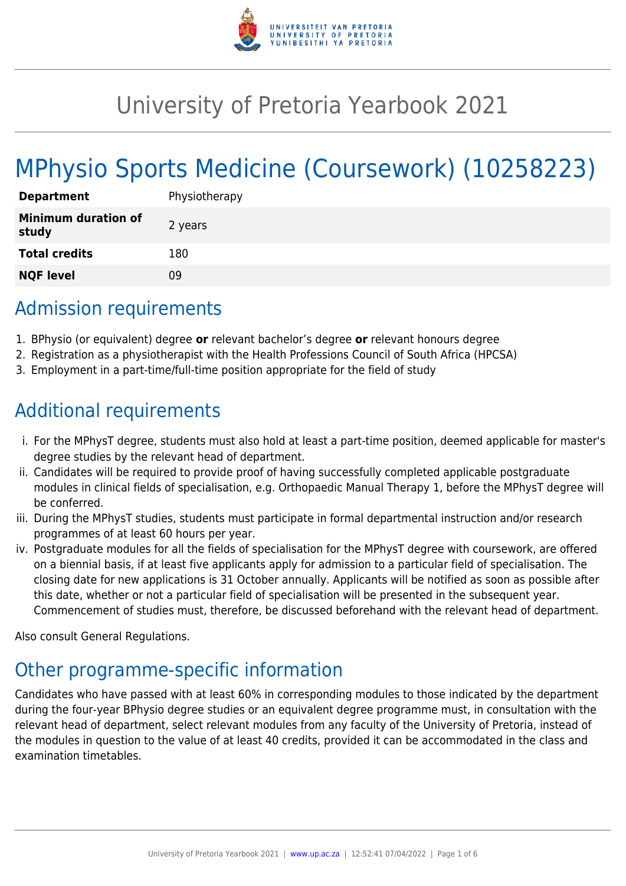

# University of Pretoria Yearbook 2021

# MPhysio Sports Medicine (Coursework) (10258223)

| <b>Department</b>                   | Physiotherapy |
|-------------------------------------|---------------|
| <b>Minimum duration of</b><br>study | 2 years       |
| <b>Total credits</b>                | 180           |
| <b>NQF level</b>                    | Ωg            |

## Admission requirements

- 1. BPhysio (or equivalent) degree **or** relevant bachelor's degree **or** relevant honours degree
- 2. Registration as a physiotherapist with the Health Professions Council of South Africa (HPCSA)
- 3. Employment in a part-time/full-time position appropriate for the field of study

## Additional requirements

- i. For the MPhysT degree, students must also hold at least a part-time position, deemed applicable for master's degree studies by the relevant head of department.
- ii. Candidates will be required to provide proof of having successfully completed applicable postgraduate modules in clinical fields of specialisation, e.g. Orthopaedic Manual Therapy 1, before the MPhysT degree will be conferred.
- iii. During the MPhysT studies, students must participate in formal departmental instruction and/or research programmes of at least 60 hours per year.
- iv. Postgraduate modules for all the fields of specialisation for the MPhysT degree with coursework, are offered on a biennial basis, if at least five applicants apply for admission to a particular field of specialisation. The closing date for new applications is 31 October annually. Applicants will be notified as soon as possible after this date, whether or not a particular field of specialisation will be presented in the subsequent year. Commencement of studies must, therefore, be discussed beforehand with the relevant head of department.

Also consult General Regulations.

# Other programme-specific information

Candidates who have passed with at least 60% in corresponding modules to those indicated by the department during the four-year BPhysio degree studies or an equivalent degree programme must, in consultation with the relevant head of department, select relevant modules from any faculty of the University of Pretoria, instead of the modules in question to the value of at least 40 credits, provided it can be accommodated in the class and examination timetables.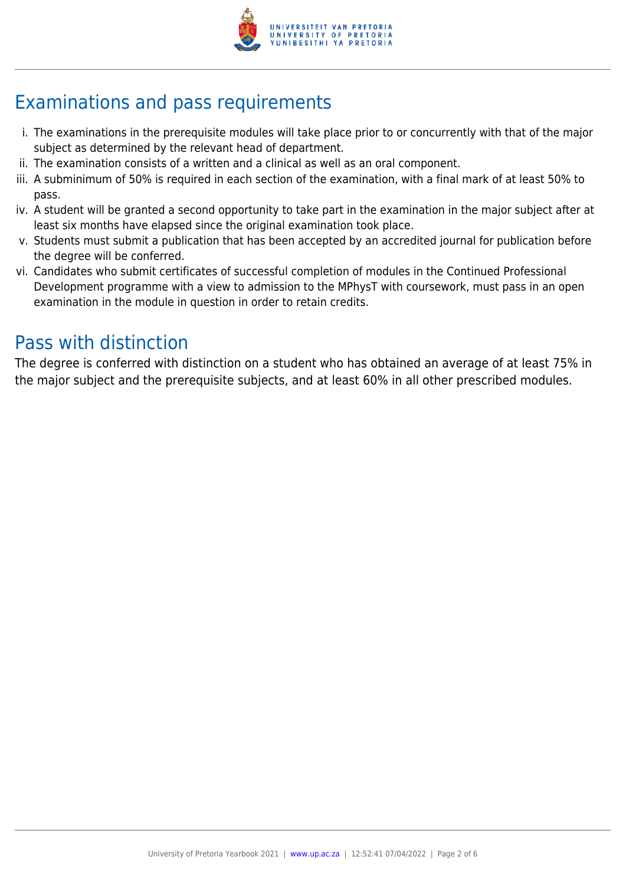

# Examinations and pass requirements

- i. The examinations in the prerequisite modules will take place prior to or concurrently with that of the major subject as determined by the relevant head of department.
- ii. The examination consists of a written and a clinical as well as an oral component.
- iii. A subminimum of 50% is required in each section of the examination, with a final mark of at least 50% to pass.
- iv. A student will be granted a second opportunity to take part in the examination in the major subject after at least six months have elapsed since the original examination took place.
- v. Students must submit a publication that has been accepted by an accredited journal for publication before the degree will be conferred.
- vi. Candidates who submit certificates of successful completion of modules in the Continued Professional Development programme with a view to admission to the MPhysT with coursework, must pass in an open examination in the module in question in order to retain credits.

### Pass with distinction

The degree is conferred with distinction on a student who has obtained an average of at least 75% in the major subject and the prerequisite subjects, and at least 60% in all other prescribed modules.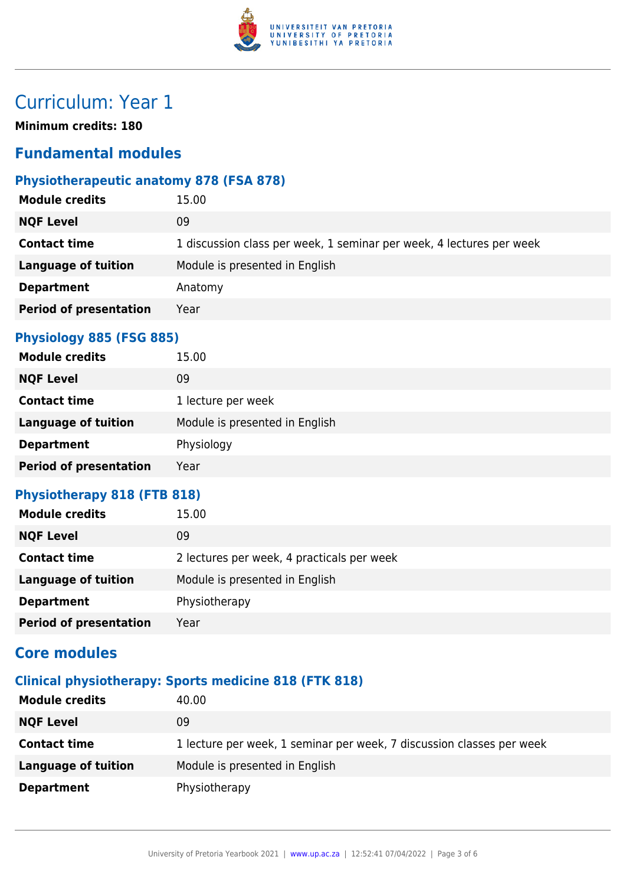

# Curriculum: Year 1

**Minimum credits: 180**

### **Fundamental modules**

#### **Physiotherapeutic anatomy 878 (FSA 878)**

| <b>Module credits</b>                 | 15.00                                                                |
|---------------------------------------|----------------------------------------------------------------------|
| <b>NQF Level</b><br>09                |                                                                      |
| <b>Contact time</b>                   | 1 discussion class per week, 1 seminar per week, 4 lectures per week |
| <b>Language of tuition</b>            | Module is presented in English                                       |
| <b>Department</b>                     | Anatomy                                                              |
| <b>Period of presentation</b><br>Year |                                                                      |

#### **Physiology 885 (FSG 885)**

| <b>Module credits</b>         | 15.00                          |
|-------------------------------|--------------------------------|
| <b>NQF Level</b>              | 09                             |
| <b>Contact time</b>           | 1 lecture per week             |
| <b>Language of tuition</b>    | Module is presented in English |
| <b>Department</b>             | Physiology                     |
| <b>Period of presentation</b> | Year                           |

#### **Physiotherapy 818 (FTB 818)**

| <b>Module credits</b>         | 15.00                                      |
|-------------------------------|--------------------------------------------|
| <b>NQF Level</b>              | 09                                         |
| <b>Contact time</b>           | 2 lectures per week, 4 practicals per week |
| <b>Language of tuition</b>    | Module is presented in English             |
| <b>Department</b>             | Physiotherapy                              |
| <b>Period of presentation</b> | Year                                       |

### **Core modules**

#### **Clinical physiotherapy: Sports medicine 818 (FTK 818)**

| <b>Module credits</b>      | 40.00                                                                 |
|----------------------------|-----------------------------------------------------------------------|
| <b>NQF Level</b>           | 09                                                                    |
| <b>Contact time</b>        | 1 lecture per week, 1 seminar per week, 7 discussion classes per week |
| <b>Language of tuition</b> | Module is presented in English                                        |
| <b>Department</b>          | Physiotherapy                                                         |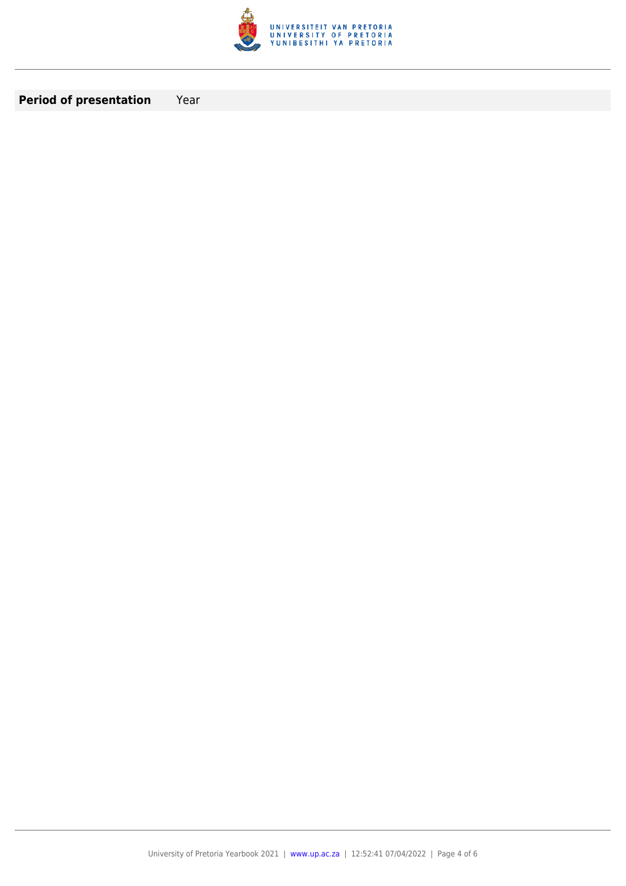

**Period of presentation** Year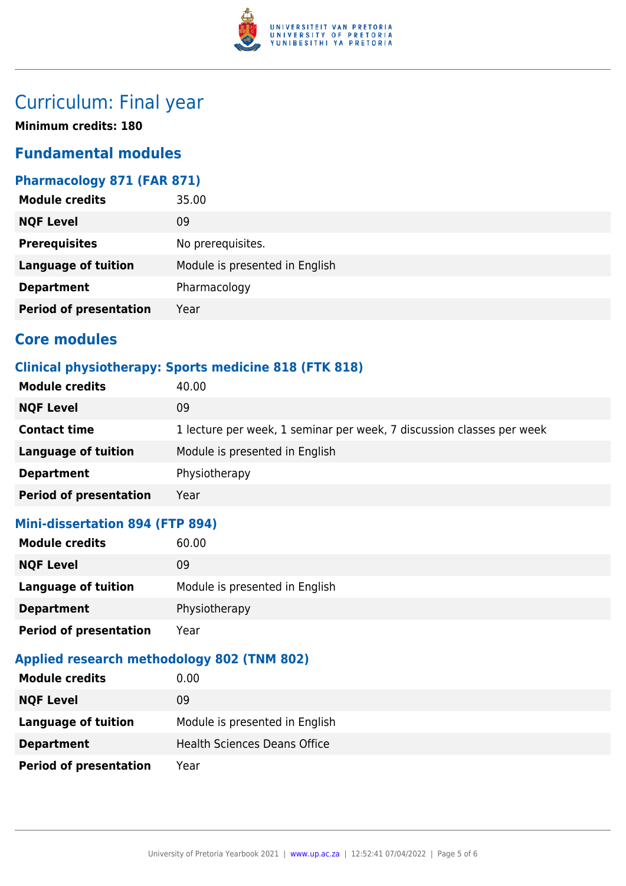

## Curriculum: Final year

**Minimum credits: 180**

### **Fundamental modules**

#### **Pharmacology 871 (FAR 871)**

| <b>Module credits</b>         | 35.00                          |
|-------------------------------|--------------------------------|
| <b>NQF Level</b>              | 09                             |
| <b>Prerequisites</b>          | No prerequisites.              |
| <b>Language of tuition</b>    | Module is presented in English |
| <b>Department</b>             | Pharmacology                   |
| <b>Period of presentation</b> | Year                           |

### **Core modules**

#### **Clinical physiotherapy: Sports medicine 818 (FTK 818)**

| <b>Module credits</b>         | 40.00                                                                 |
|-------------------------------|-----------------------------------------------------------------------|
| <b>NQF Level</b>              | 09                                                                    |
| <b>Contact time</b>           | 1 lecture per week, 1 seminar per week, 7 discussion classes per week |
| Language of tuition           | Module is presented in English                                        |
| <b>Department</b>             | Physiotherapy                                                         |
| <b>Period of presentation</b> | Year                                                                  |

#### **Mini-dissertation 894 (FTP 894)**

| <b>Module credits</b>         | 60.00                          |
|-------------------------------|--------------------------------|
| <b>NQF Level</b>              | 09                             |
| <b>Language of tuition</b>    | Module is presented in English |
| <b>Department</b>             | Physiotherapy                  |
| <b>Period of presentation</b> | Year                           |

### **Applied research methodology 802 (TNM 802)**

| <b>Module credits</b>         | 0.00                                |
|-------------------------------|-------------------------------------|
| <b>NQF Level</b>              | 09                                  |
| <b>Language of tuition</b>    | Module is presented in English      |
| <b>Department</b>             | <b>Health Sciences Deans Office</b> |
| <b>Period of presentation</b> | Year                                |